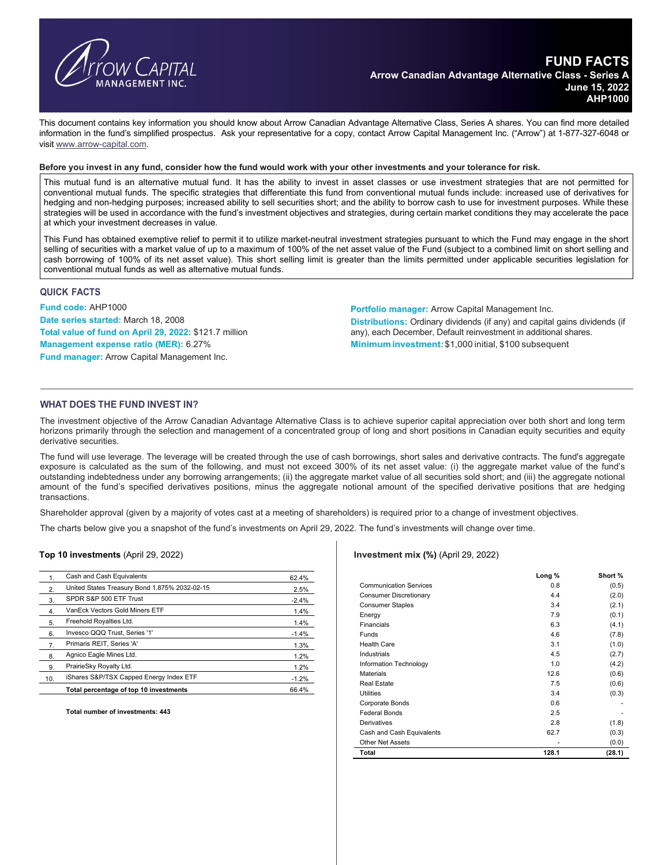

This document contains key information you should know about Arrow Canadian Advantage Alternative Class, Series A shares. You can find more detailed information in the fund's simplified prospectus. Ask your representative for a copy, contact Arrow Capital Management Inc. ("Arrow") at 1-877-327-6048 or visit www.arrow-capital.com.

**Before you invest in any fund, consider how the fund would work with your other investments and your tolerance for risk.**

This mutual fund is an alternative mutual fund. It has the ability to invest in asset classes or use investment strategies that are not permitted for conventional mutual funds. The specific strategies that differentiate this fund from conventional mutual funds include: increased use of derivatives for hedging and non-hedging purposes; increased ability to sell securities short; and the ability to borrow cash to use for investment purposes. While these strategies will be used in accordance with the fund's investment objectives and strategies, during certain market conditions they may accelerate the pace at which your investment decreases in value.

This Fund has obtained exemptive relief to permit it to utilize market-neutral investment strategies pursuant to which the Fund may engage in the short selling of securities with a market value of up to a maximum of 100% of the net asset value of the Fund (subject to a combined limit on short selling and cash borrowing of 100% of its net asset value). This short selling limit is greater than the limits permitted under applicable securities legislation for conventional mutual funds as well as alternative mutual funds.

## **QUICK FACTS**

**Fund code:** AHP1000 **Date series started:** March 18, 2008 **Total value of fund on April 29, 2022:** \$121.7 million **Management expense ratio (MER):** 6.27% **Fund manager:** Arrow Capital Management Inc.

**Portfolio manager:** Arrow Capital Management Inc. **Distributions:** Ordinary dividends (if any) and capital gains dividends (if any), each December, Default reinvestment in additional shares. **Minimum investment:**\$1,000 initial, \$100 subsequent

## **WHAT DOES THE FUND INVEST IN?**

The investment objective of the Arrow Canadian Advantage Alternative Class is to achieve superior capital appreciation over both short and long term horizons primarily through the selection and management of a concentrated group of long and short positions in Canadian equity securities and equity derivative securities.

The fund will use leverage. The leverage will be created through the use of cash borrowings, short sales and derivative contracts. The fund's aggregate exposure is calculated as the sum of the following, and must not exceed 300% of its net asset value: (i) the aggregate market value of the fund's outstanding indebtedness under any borrowing arrangements; (ii) the aggregate market value of all securities sold short; and (iii) the aggregate notional amount of the fund's specified derivatives positions, minus the aggregate notional amount of the specified derivative positions that are hedging transactions.

Shareholder approval (given by a majority of votes cast at a meeting of shareholders) is required prior to a change of investment objectives.

The charts below give you a snapshot of the fund's investments on April 29, 2022. The fund's investments will change over time.

#### **Top 10 investments** (April 29, 2022)

| 1.               | Cash and Cash Equivalents                     | 62.4%   |
|------------------|-----------------------------------------------|---------|
| 2.               | United States Treasury Bond 1.875% 2032-02-15 | 2.5%    |
| 3.               | SPDR S&P 500 ETF Trust                        | $-2.4%$ |
| 4.               | VanEck Vectors Gold Miners ETF                | 1.4%    |
| 5.               | Freehold Royalties Ltd.                       | 1.4%    |
| 6.               | Invesco QQQ Trust, Series '1'                 | $-1.4%$ |
| $\overline{7}$ . | Primaris REIT, Series 'A'                     | 1.3%    |
| 8.               | Agnico Eagle Mines Ltd.                       | 1.2%    |
| 9.               | PrairieSky Royalty Ltd.                       | 1.2%    |
| 10.              | iShares S&P/TSX Capped Energy Index ETF       | $-1.2%$ |
|                  | Total percentage of top 10 investments        | 66.4%   |
|                  |                                               |         |

**Total number of investments: 443** 

#### **Investment mix (%)** (April 29, 2022)

|                               | Long % | Short % |
|-------------------------------|--------|---------|
| <b>Communication Services</b> | 0.8    | (0.5)   |
| <b>Consumer Discretionary</b> | 4.4    | (2.0)   |
| <b>Consumer Staples</b>       | 3.4    | (2.1)   |
| Energy                        | 7.9    | (0.1)   |
| Financials                    | 6.3    | (4.1)   |
| Funds                         | 4.6    | (7.8)   |
| <b>Health Care</b>            | 3.1    | (1.0)   |
| Industrials                   | 4.5    | (2.7)   |
| Information Technology        | 1.0    | (4.2)   |
| <b>Materials</b>              | 12.6   | (0.6)   |
| <b>Real Estate</b>            | 7.5    | (0.6)   |
| Utilities                     | 3.4    | (0.3)   |
| Corporate Bonds               | 0.6    |         |
| <b>Federal Bonds</b>          | 2.5    |         |
| Derivatives                   | 2.8    | (1.8)   |
| Cash and Cash Equivalents     | 62.7   | (0.3)   |
| <b>Other Net Assets</b>       |        | (0.0)   |
| Total                         | 128.1  | (28.1)  |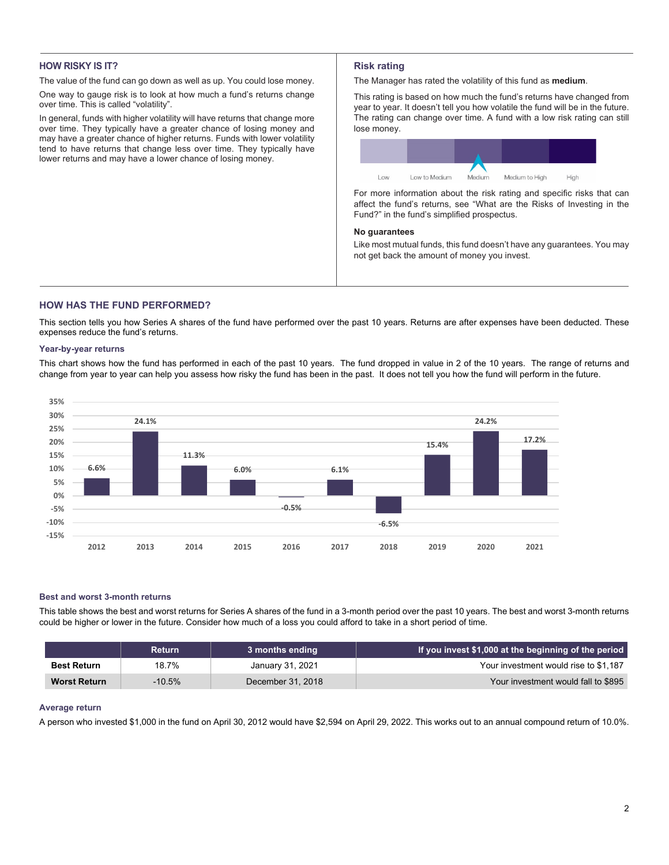## **HOW RISKY IS IT?**

The value of the fund can go down as well as up. You could lose money.

One way to gauge risk is to look at how much a fund's returns change over time. This is called "volatility".

In general, funds with higher volatility will have returns that change more over time. They typically have a greater chance of losing money and may have a greater chance of higher returns. Funds with lower volatility tend to have returns that change less over time. They typically have lower returns and may have a lower chance of losing money.

# **Risk rating**

The Manager has rated the volatility of this fund as **medium**.

This rating is based on how much the fund's returns have changed from year to year. It doesn't tell you how volatile the fund will be in the future. The rating can change over time. A fund with a low risk rating can still lose money.

| Low | Low to Medium | Medium | Medium to High | High |
|-----|---------------|--------|----------------|------|

For more information about the risk rating and specific risks that can affect the fund's returns, see "What are the Risks of Investing in the Fund?" in the fund's simplified prospectus.

## **No guarantees**

Like most mutual funds, this fund doesn't have any guarantees. You may not get back the amount of money you invest.

# **HOW HAS THE FUND PERFORMED?**

This section tells you how Series A shares of the fund have performed over the past 10 years. Returns are after expenses have been deducted. These expenses reduce the fund's returns.

### **Year-by-year returns**

This chart shows how the fund has performed in each of the past 10 years. The fund dropped in value in 2 of the 10 years. The range of returns and change from year to year can help you assess how risky the fund has been in the past. It does not tell you how the fund will perform in the future.



### **Best and worst 3-month returns**

This table shows the best and worst returns for Series A shares of the fund in a 3-month period over the past 10 years. The best and worst 3-month returns could be higher or lower in the future. Consider how much of a loss you could afford to take in a short period of time.

|                     | <b>Return</b> | 3 months ending   | If you invest \$1,000 at the beginning of the period |
|---------------------|---------------|-------------------|------------------------------------------------------|
| <b>Best Return</b>  | 18.7%         | January 31, 2021  | Your investment would rise to \$1.187                |
| <b>Worst Return</b> | $-10.5\%$     | December 31, 2018 | Your investment would fall to \$895                  |

### **Average return**

A person who invested \$1,000 in the fund on April 30, 2012 would have \$2,594 on April 29, 2022. This works out to an annual compound return of 10.0%.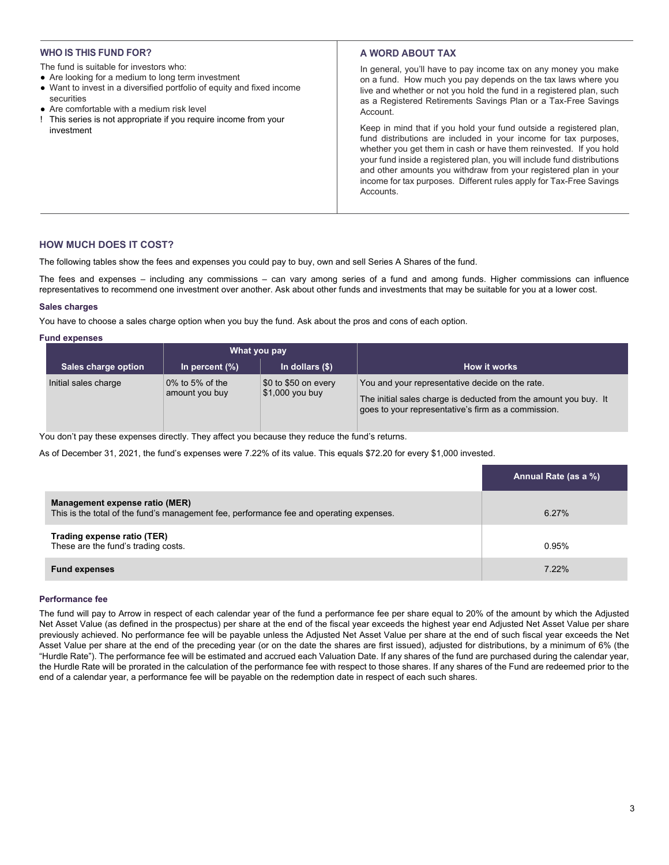## **WHO IS THIS FUND FOR?**

- The fund is suitable for investors who:
- Are looking for a medium to long term investment
- Want to invest in a diversified portfolio of equity and fixed income securities
- Are comfortable with a medium risk level
- ! This series is not appropriate if you require income from your investment

# **A WORD ABOUT TAX**

In general, you'll have to pay income tax on any money you make on a fund. How much you pay depends on the tax laws where you live and whether or not you hold the fund in a registered plan, such as a Registered Retirements Savings Plan or a Tax-Free Savings Account.

Keep in mind that if you hold your fund outside a registered plan, fund distributions are included in your income for tax purposes, whether you get them in cash or have them reinvested. If you hold your fund inside a registered plan, you will include fund distributions and other amounts you withdraw from your registered plan in your income for tax purposes. Different rules apply for Tax-Free Savings **Accounts** 

## **HOW MUCH DOES IT COST?**

The following tables show the fees and expenses you could pay to buy, own and sell Series A Shares of the fund.

The fees and expenses – including any commissions – can vary among series of a fund and among funds. Higher commissions can influence representatives to recommend one investment over another. Ask about other funds and investments that may be suitable for you at a lower cost.

## **Sales charges**

You have to choose a sales charge option when you buy the fund. Ask about the pros and cons of each option.

#### **Fund expenses**

|                      | What you pay                         |                                                            |                                                                                                                                                                            |
|----------------------|--------------------------------------|------------------------------------------------------------|----------------------------------------------------------------------------------------------------------------------------------------------------------------------------|
| Sales charge option  | In percent $(\%)$                    | In dollars $(\$)$                                          | How it works                                                                                                                                                               |
| Initial sales charge | $0\%$ to 5% of the<br>amount you buy | $\frac{1}{2}0$ to \$50 on every<br>$\vert$ \$1,000 you buy | You and your representative decide on the rate.<br>The initial sales charge is deducted from the amount you buy. It<br>goes to your representative's firm as a commission. |

You don't pay these expenses directly. They affect you because they reduce the fund's returns.

As of December 31, 2021, the fund's expenses were 7.22% of its value. This equals \$72.20 for every \$1,000 invested.

|                                                                                                                           | Annual Rate (as a %) |
|---------------------------------------------------------------------------------------------------------------------------|----------------------|
| Management expense ratio (MER)<br>This is the total of the fund's management fee, performance fee and operating expenses. | 6.27%                |
| Trading expense ratio (TER)<br>These are the fund's trading costs.                                                        | 0.95%                |
| <b>Fund expenses</b>                                                                                                      | 7.22%                |

#### **Performance fee**

The fund will pay to Arrow in respect of each calendar year of the fund a performance fee per share equal to 20% of the amount by which the Adjusted Net Asset Value (as defined in the prospectus) per share at the end of the fiscal year exceeds the highest year end Adjusted Net Asset Value per share previously achieved. No performance fee will be payable unless the Adjusted Net Asset Value per share at the end of such fiscal year exceeds the Net Asset Value per share at the end of the preceding year (or on the date the shares are first issued), adjusted for distributions, by a minimum of 6% (the "Hurdle Rate"). The performance fee will be estimated and accrued each Valuation Date. If any shares of the fund are purchased during the calendar year, the Hurdle Rate will be prorated in the calculation of the performance fee with respect to those shares. If any shares of the Fund are redeemed prior to the end of a calendar year, a performance fee will be payable on the redemption date in respect of each such shares.